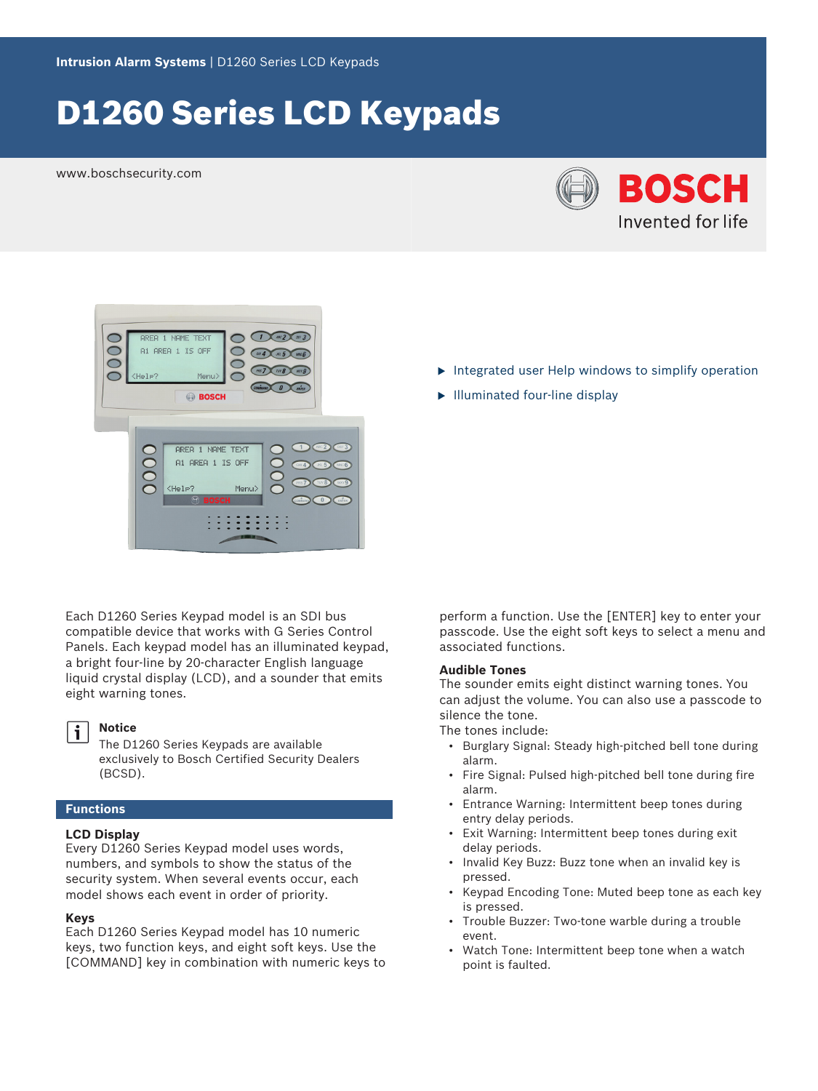# D1260 Series LCD Keypads

www.boschsecurity.com





Each D1260 Series Keypad model is an SDI bus compatible device that works with G Series Control Panels. Each keypad model has an illuminated keypad, a bright four-line by 20-character English language liquid crystal display (LCD), and a sounder that emits eight warning tones.



#### **Notice**

The D1260 Series Keypads are available exclusively to Bosch Certified Security Dealers (BCSD).

### **Functions**

#### **LCD Display**

Every D1260 Series Keypad model uses words, numbers, and symbols to show the status of the security system. When several events occur, each model shows each event in order of priority.

#### **Keys**

Each D1260 Series Keypad model has 10 numeric keys, two function keys, and eight soft keys. Use the [COMMAND] key in combination with numeric keys to

- $\blacktriangleright$  Integrated user Help windows to simplify operation
- $\blacktriangleright$  Illuminated four-line display

perform a function. Use the [ENTER] key to enter your passcode. Use the eight soft keys to select a menu and associated functions.

#### **Audible Tones**

The sounder emits eight distinct warning tones. You can adjust the volume. You can also use a passcode to silence the tone.

The tones include:

- Burglary Signal: Steady high-pitched bell tone during alarm.
- Fire Signal: Pulsed high-pitched bell tone during fire alarm.
- Entrance Warning: Intermittent beep tones during entry delay periods.
- Exit Warning: Intermittent beep tones during exit delay periods.
- Invalid Key Buzz: Buzz tone when an invalid key is pressed.
- Keypad Encoding Tone: Muted beep tone as each key is pressed.
- Trouble Buzzer: Two-tone warble during a trouble event.
- Watch Tone: Intermittent beep tone when a watch point is faulted.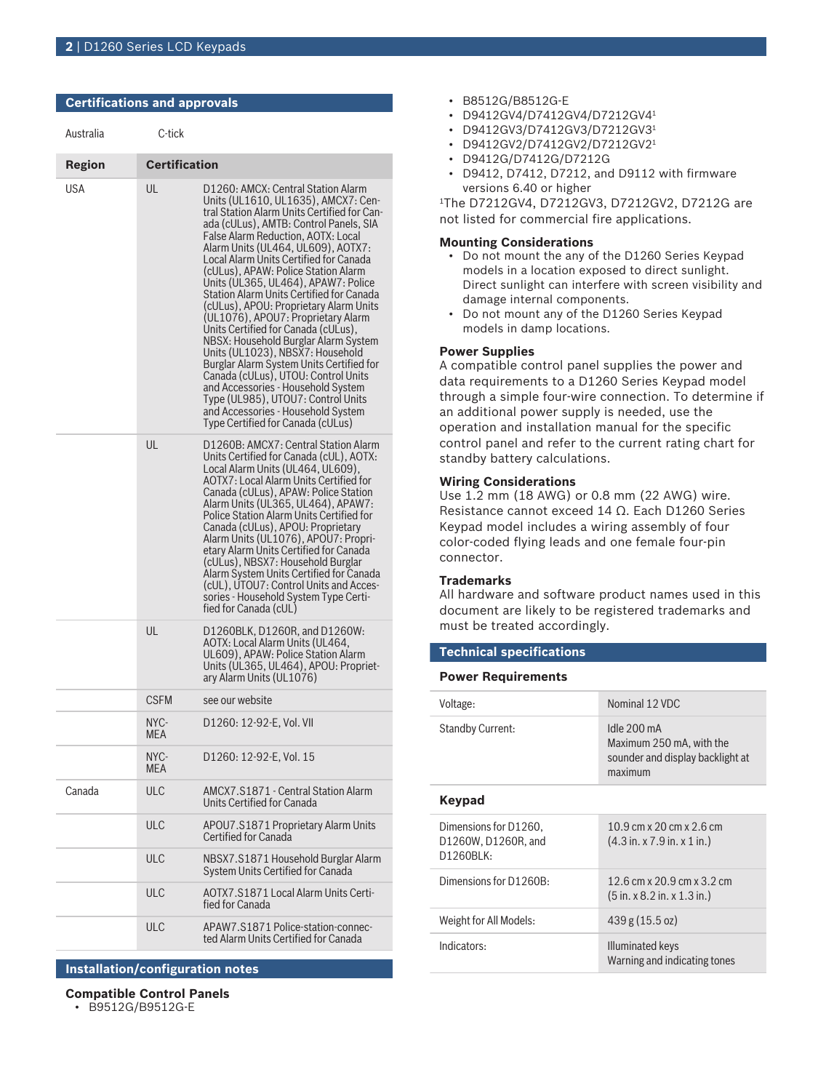#### **Certifications and approvals**

| Australia     | C-tick             |                                                                                                                                                                                                                                                                                                                                                                                                                                                                                                                                                                                                                                                                                                                                                                                                                                                                 |  |
|---------------|--------------------|-----------------------------------------------------------------------------------------------------------------------------------------------------------------------------------------------------------------------------------------------------------------------------------------------------------------------------------------------------------------------------------------------------------------------------------------------------------------------------------------------------------------------------------------------------------------------------------------------------------------------------------------------------------------------------------------------------------------------------------------------------------------------------------------------------------------------------------------------------------------|--|
| <b>Region</b> |                    | <b>Certification</b>                                                                                                                                                                                                                                                                                                                                                                                                                                                                                                                                                                                                                                                                                                                                                                                                                                            |  |
| USA           | UL                 | D1260: AMCX: Central Station Alarm<br>Units (UL1610, UL1635), AMCX7: Cen-<br>tral Station Alarm Units Certified for Can-<br>ada (cULus), AMTB: Control Panels, SIA<br>False Alarm Reduction, AOTX: Local<br>Alarm Units (UL464, UL609), AOTX7:<br>Local Alarm Units Certified for Canada<br>(cULus), APAW: Police Station Alarm<br>Units (UL365, UL464), APAW7: Police<br>Station Alarm Units Certified for Canada<br>(cULus), APOU: Proprietary Alarm Units<br>(UL1076), APOU7: Proprietary Alarm<br>Units Certified for Canada (cULus),<br>NBSX: Household Burglar Alarm System<br>Units (UL1023), NBSX7: Household<br>Burglar Alarm System Units Certified for<br>Canada (cULus), UTOU: Control Units<br>and Accessories - Household System<br>Type (UL985), UTOU7: Control Units<br>and Accessories - Household System<br>Type Certified for Canada (cULus) |  |
|               | UL                 | D1260B: AMCX7: Central Station Alarm<br>Units Certified for Canada (cUL), AOTX:<br>Local Alarm Units (UL464, UL609),<br>AOTX7: Local Alarm Units Certified for<br>Canada (cULus), APAW: Police Station<br>Alarm Units (UL365, UL464), APAW7:<br>Police Station Alarm Units Certified for<br>Canada (cULus), APOU: Proprietary<br>Alarm Units (UL1076), APOU7: Propri-<br>etary Alarm Units Certified for Canada<br>(cULus), NBSX7: Household Burglar<br>Alarm System Units Certified for Canada<br>(cUL), UTOU7: Control Units and Acces-<br>sories - Household System Type Certi-<br>fied for Canada (cUL)                                                                                                                                                                                                                                                     |  |
|               | UL                 | D1260BLK, D1260R, and D1260W:<br>AOTX: Local Alarm Units (UL464,<br>UL609), APAW: Police Station Alarm<br>Units (UL365, UL464), APOU: Propriet-<br>ary Alarm Units (UL1076)                                                                                                                                                                                                                                                                                                                                                                                                                                                                                                                                                                                                                                                                                     |  |
|               | <b>CSFM</b>        | see our website                                                                                                                                                                                                                                                                                                                                                                                                                                                                                                                                                                                                                                                                                                                                                                                                                                                 |  |
|               | NYC-<br>MEA        | D1260: 12-92-E, Vol. VII                                                                                                                                                                                                                                                                                                                                                                                                                                                                                                                                                                                                                                                                                                                                                                                                                                        |  |
|               | NYC-<br><b>MFA</b> | D1260: 12-92-E, Vol. 15                                                                                                                                                                                                                                                                                                                                                                                                                                                                                                                                                                                                                                                                                                                                                                                                                                         |  |
| Canada        | <b>ULC</b>         | AMCX7.S1871 - Central Station Alarm<br>Units Certified for Canada                                                                                                                                                                                                                                                                                                                                                                                                                                                                                                                                                                                                                                                                                                                                                                                               |  |
|               | <b>ULC</b>         | APOU7.S1871 Proprietary Alarm Units<br>Certified for Canada                                                                                                                                                                                                                                                                                                                                                                                                                                                                                                                                                                                                                                                                                                                                                                                                     |  |
|               | <b>ULC</b>         | NBSX7.S1871 Household Burglar Alarm<br>System Units Certified for Canada                                                                                                                                                                                                                                                                                                                                                                                                                                                                                                                                                                                                                                                                                                                                                                                        |  |
|               | <b>ULC</b>         | AOTX7.S1871 Local Alarm Units Certi-<br>fied for Canada                                                                                                                                                                                                                                                                                                                                                                                                                                                                                                                                                                                                                                                                                                                                                                                                         |  |
|               | <b>ULC</b>         | APAW7.S1871 Police-station-connec-<br>ted Alarm Units Certified for Canada                                                                                                                                                                                                                                                                                                                                                                                                                                                                                                                                                                                                                                                                                                                                                                                      |  |

### **Installation/configuration notes**

#### **Compatible Control Panels**

• B9512G/B9512G-E

- B8512G/B8512G-E
- D9412GV4/D7412GV4/D7212GV4<sup>1</sup>
- D9412GV3/D7412GV3/D7212GV3<sup>1</sup>
- D9412GV2/D7412GV2/D7212GV2<sup>1</sup>
- D9412G/D7412G/D7212G
- D9412, D7412, D7212, and D9112 with firmware versions 6.40 or higher

<sup>1</sup>The D7212GV4, D7212GV3, D7212GV2, D7212G are not listed for commercial fire applications.

#### **Mounting Considerations**

- Do not mount the any of the D1260 Series Keypad models in a location exposed to direct sunlight. Direct sunlight can interfere with screen visibility and damage internal components.
- Do not mount any of the D1260 Series Keypad models in damp locations.

#### **Power Supplies**

A compatible control panel supplies the power and data requirements to a D1260 Series Keypad model through a simple four-wire connection. To determine if an additional power supply is needed, use the operation and installation manual for the specific control panel and refer to the current rating chart for standby battery calculations.

#### **Wiring Considerations**

Use 1.2 mm (18 AWG) or 0.8 mm (22 AWG) wire. Resistance cannot exceed 14 Ω. Each D1260 Series Keypad model includes a wiring assembly of four color-coded flying leads and one female four-pin connector.

#### **Trademarks**

All hardware and software product names used in this document are likely to be registered trademarks and must be treated accordingly.

#### **Technical specifications**

#### **Power Requirements**

| Voltage:                                                  | Nominal 12 VDC                                                                                                        |
|-----------------------------------------------------------|-----------------------------------------------------------------------------------------------------------------------|
| <b>Standby Current:</b>                                   | Idle 200 mA<br>Maximum 250 mA, with the<br>sounder and display backlight at<br>maximum                                |
| Keypad                                                    |                                                                                                                       |
| Dimensions for D1260,<br>D1260W, D1260R, and<br>D1260BIK: | $10.9 \text{ cm} \times 20 \text{ cm} \times 2.6 \text{ cm}$<br>$(4.3 \text{ in. x} 7.9 \text{ in. x} 1 \text{ in.})$ |
| Dimensions for D1260B:                                    | 12.6 cm x 20.9 cm x 3.2 cm<br>$(5 \text{ in. x } 8.2 \text{ in. x } 1.3 \text{ in.})$                                 |
| Weight for All Models:                                    | 439 g (15.5 oz)                                                                                                       |
| Indicators:                                               | Illuminated keys<br>Warning and indicating tones                                                                      |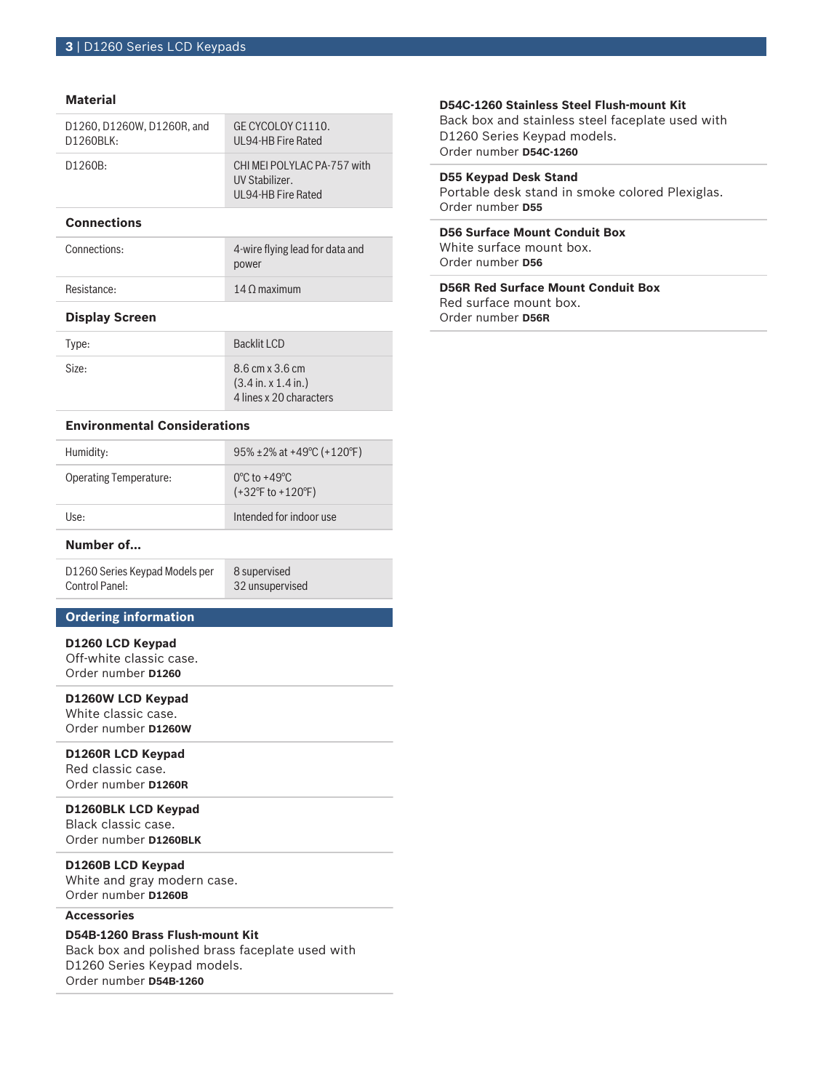### **Material**

| D1260, D1260W, D1260R, and | GE CYCOLOY C1110.                                                   |
|----------------------------|---------------------------------------------------------------------|
| D1260B1K:                  | UL94-HB Fire Rated                                                  |
| D1260B:                    | CHI MEI POLYLAC PA-757 with<br>UV Stabilizer.<br>UL94-HB Fire Rated |

#### **Connections**

| Connections: | 4-wire flying lead for data and<br>power |
|--------------|------------------------------------------|
| Resistance:  | $140$ maximum                            |

#### **Display Screen**

| Type: | Backlit LCD                                                                          |
|-------|--------------------------------------------------------------------------------------|
| Size: | 8.6 cm x 3.6 cm<br>$(3.4 \text{ in. x } 1.4 \text{ in.})$<br>4 lines x 20 characters |

#### **Environmental Considerations**

| Humidity:                     | 95% ± 2% at +49 °C (+120 °F)                                               |
|-------------------------------|----------------------------------------------------------------------------|
| <b>Operating Temperature:</b> | $0^{\circ}$ C to +49 $^{\circ}$ C<br>$(+32^{\circ}$ F to $+120^{\circ}$ F) |
| llse.                         | Intended for indoor use                                                    |

#### **Number of…**

| D1260 Series Keypad Models per | 8 supervised    |
|--------------------------------|-----------------|
| Control Panel:                 | 32 unsupervised |

### **Ordering information**

**D1260 LCD Keypad** Off-white classic case. Order number **D1260**

**D1260W LCD Keypad** White classic case. Order number **D1260W**

**D1260R LCD Keypad** Red classic case. Order number **D1260R**

**D1260BLK LCD Keypad** Black classic case. Order number **D1260BLK**

**D1260B LCD Keypad** White and gray modern case. Order number **D1260B**

### **Accessories**

## **D54B‑1260 Brass Flush‑mount Kit**

Back box and polished brass faceplate used with D1260 Series Keypad models. Order number **D54B-1260**

#### **D54C‑1260 Stainless Steel Flush‑mount Kit**

Back box and stainless steel faceplate used with D1260 Series Keypad models. Order number **D54C-1260**

#### **D55 Keypad Desk Stand**

Portable desk stand in smoke colored Plexiglas. Order number **D55**

#### **D56 Surface Mount Conduit Box** White surface mount box.

Order number **D56**

**D56R Red Surface Mount Conduit Box** Red surface mount box. Order number **D56R**